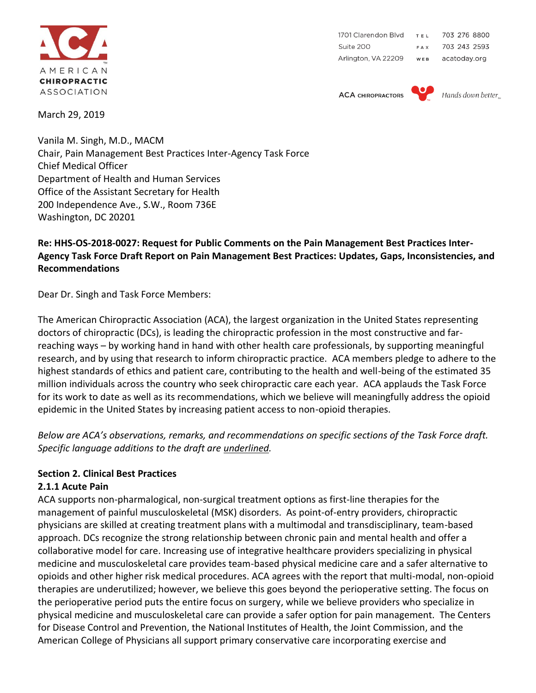

1701 Clarendon Blvd 703 276 8800 TEL Suite 200 703 243 2593 FAX Arlington, VA 22209 acatoday.org WEB

**ACA CHIROPRACTORS** 



Hands down better

March 29, 2019

Vanila M. Singh, M.D., MACM Chair, Pain Management Best Practices Inter-Agency Task Force Chief Medical Officer Department of Health and Human Services Office of the Assistant Secretary for Health 200 Independence Ave., S.W., Room 736E Washington, DC 20201

#### **Re: HHS-OS-2018-0027: Request for Public Comments on the Pain Management Best Practices Inter-Agency Task Force Draft Report on Pain Management Best Practices: Updates, Gaps, Inconsistencies, and Recommendations**

Dear Dr. Singh and Task Force Members:

The American Chiropractic Association (ACA), the largest organization in the United States representing doctors of chiropractic (DCs), is leading the chiropractic profession in the most constructive and farreaching ways – by working hand in hand with other health care professionals, by supporting meaningful research, and by using that research to inform chiropractic practice. ACA members pledge to adhere to the highest standards of ethics and patient care, contributing to the health and well-being of the estimated 35 million individuals across the country who seek chiropractic care each year. ACA applauds the Task Force for its work to date as well as its recommendations, which we believe will meaningfully address the opioid epidemic in the United States by increasing patient access to non-opioid therapies.

*Below are ACA's observations, remarks, and recommendations on specific sections of the Task Force draft. Specific language additions to the draft are underlined.*

## **Section 2. Clinical Best Practices**

#### **2.1.1 Acute Pain**

ACA supports non-pharmalogical, non-surgical treatment options as first-line therapies for the management of painful musculoskeletal (MSK) disorders. As point-of-entry providers, chiropractic physicians are skilled at creating treatment plans with a multimodal and transdisciplinary, team-based approach. DCs recognize the strong relationship between chronic pain and mental health and offer a collaborative model for care. Increasing use of integrative healthcare providers specializing in physical medicine and musculoskeletal care provides team-based physical medicine care and a safer alternative to opioids and other higher risk medical procedures. ACA agrees with the report that multi-modal, non-opioid therapies are underutilized; however, we believe this goes beyond the perioperative setting. The focus on the perioperative period puts the entire focus on surgery, while we believe providers who specialize in physical medicine and musculoskeletal care can provide a safer option for pain management. The Centers for Disease Control and Prevention, the National Institutes of Health, the Joint Commission, and the American College of Physicians all support primary conservative care incorporating exercise and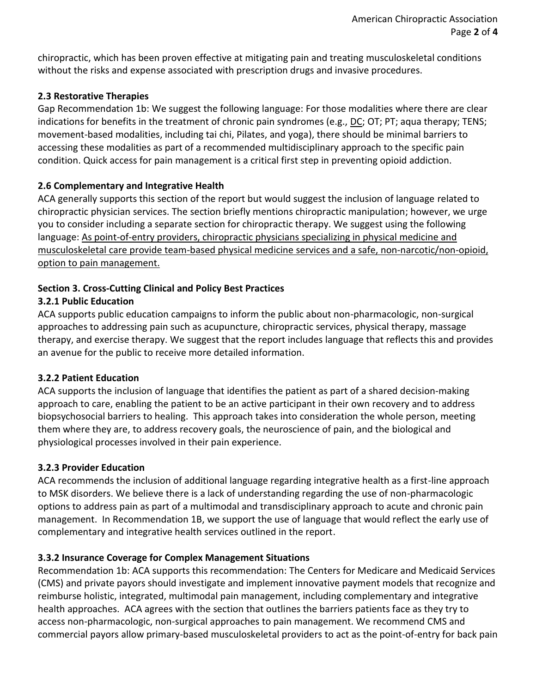chiropractic, which has been proven effective at mitigating pain and treating musculoskeletal conditions without the risks and expense associated with prescription drugs and invasive procedures.

#### **2.3 Restorative Therapies**

Gap Recommendation 1b: We suggest the following language: For those modalities where there are clear indications for benefits in the treatment of chronic pain syndromes (e.g., DC; OT; PT; aqua therapy; TENS; movement-based modalities, including tai chi, Pilates, and yoga), there should be minimal barriers to accessing these modalities as part of a recommended multidisciplinary approach to the specific pain condition. Quick access for pain management is a critical first step in preventing opioid addiction.

#### **2.6 Complementary and Integrative Health**

ACA generally supports this section of the report but would suggest the inclusion of language related to chiropractic physician services. The section briefly mentions chiropractic manipulation; however, we urge you to consider including a separate section for chiropractic therapy. We suggest using the following language: As point-of-entry providers, chiropractic physicians specializing in physical medicine and musculoskeletal care provide team-based physical medicine services and a safe, non-narcotic/non-opioid, option to pain management.

# **Section 3. Cross-Cutting Clinical and Policy Best Practices**

## **3.2.1 Public Education**

ACA supports public education campaigns to inform the public about non-pharmacologic, non-surgical approaches to addressing pain such as acupuncture, chiropractic services, physical therapy, massage therapy, and exercise therapy. We suggest that the report includes language that reflects this and provides an avenue for the public to receive more detailed information.

## **3.2.2 Patient Education**

ACA supports the inclusion of language that identifies the patient as part of a shared decision-making approach to care, enabling the patient to be an active participant in their own recovery and to address biopsychosocial barriers to healing. This approach takes into consideration the whole person, meeting them where they are, to address recovery goals, the neuroscience of pain, and the biological and physiological processes involved in their pain experience.

## **3.2.3 Provider Education**

ACA recommends the inclusion of additional language regarding integrative health as a first-line approach to MSK disorders. We believe there is a lack of understanding regarding the use of non-pharmacologic options to address pain as part of a multimodal and transdisciplinary approach to acute and chronic pain management. In Recommendation 1B, we support the use of language that would reflect the early use of complementary and integrative health services outlined in the report.

## **3.3.2 Insurance Coverage for Complex Management Situations**

Recommendation 1b: ACA supports this recommendation: The Centers for Medicare and Medicaid Services (CMS) and private payors should investigate and implement innovative payment models that recognize and reimburse holistic, integrated, multimodal pain management, including complementary and integrative health approaches. ACA agrees with the section that outlines the barriers patients face as they try to access non-pharmacologic, non-surgical approaches to pain management. We recommend CMS and commercial payors allow primary-based musculoskeletal providers to act as the point-of-entry for back pain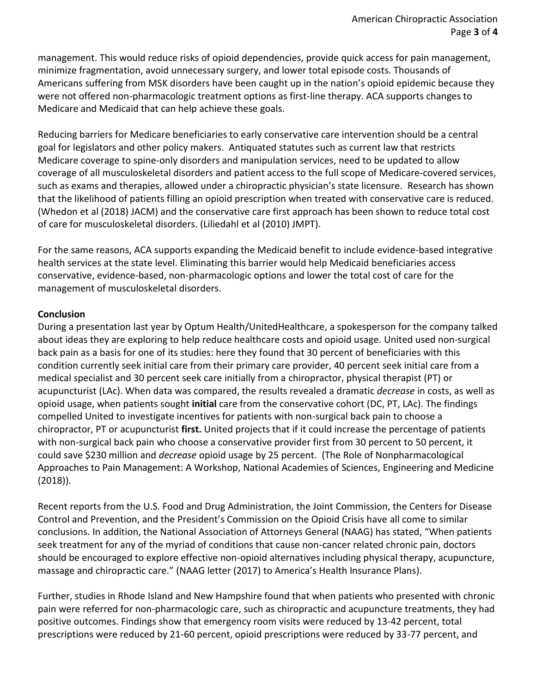management. This would reduce risks of opioid dependencies, provide quick access for pain management, minimize fragmentation, avoid unnecessary surgery, and lower total episode costs. Thousands of Americans suffering from MSK disorders have been caught up in the nation's opioid epidemic because they were not offered non-pharmacologic treatment options as first-line therapy. ACA supports changes to Medicare and Medicaid that can help achieve these goals.

Reducing barriers for Medicare beneficiaries to early conservative care intervention should be a central goal for legislators and other policy makers. Antiquated statutes such as current law that restricts Medicare coverage to spine-only disorders and manipulation services, need to be updated to allow coverage of all musculoskeletal disorders and patient access to the full scope of Medicare-covered services, such as exams and therapies, allowed under a chiropractic physician's state licensure. Research has shown that the likelihood of patients filling an opioid prescription when treated with conservative care is reduced. (Whedon et al (2018) JACM) and the conservative care first approach has been shown to reduce total cost of care for musculoskeletal disorders. (Liliedahl et al (2010) JMPT).

For the same reasons, ACA supports expanding the Medicaid benefit to include evidence-based integrative health services at the state level. Eliminating this barrier would help Medicaid beneficiaries access conservative, evidence-based, non-pharmacologic options and lower the total cost of care for the management of musculoskeletal disorders.

#### **Conclusion**

During a presentation last year by Optum Health/UnitedHealthcare, a spokesperson for the company talked about ideas they are exploring to help reduce healthcare costs and opioid usage. United used non-surgical back pain as a basis for one of its studies: here they found that 30 percent of beneficiaries with this condition currently seek initial care from their primary care provider, 40 percent seek initial care from a medical specialist and 30 percent seek care initially from a chiropractor, physical therapist (PT) or acupuncturist (LAc). When data was compared, the results revealed a dramatic *decrease* in costs, as well as opioid usage, when patients sought **initial** care from the conservative cohort (DC, PT, LAc). The findings compelled United to investigate incentives for patients with non-surgical back pain to choose a chiropractor, PT or acupuncturist **first.** United projects that if it could increase the percentage of patients with non-surgical back pain who choose a conservative provider first from 30 percent to 50 percent, it could save \$230 million and *decrease* opioid usage by 25 percent. (The Role of Nonpharmacological Approaches to Pain Management: A Workshop, National Academies of Sciences, Engineering and Medicine (2018)).

Recent reports from the U.S. Food and Drug Administration, the Joint Commission, the Centers for Disease Control and Prevention, and the President's Commission on the Opioid Crisis have all come to similar conclusions. In addition, the National Association of Attorneys General (NAAG) has stated, "When patients seek treatment for any of the myriad of conditions that cause non-cancer related chronic pain, doctors should be encouraged to explore effective non-opioid alternatives including physical therapy, acupuncture, massage and chiropractic care." (NAAG letter (2017) to America's Health Insurance Plans).

Further, studies in Rhode Island and New Hampshire found that when patients who presented with chronic pain were referred for non-pharmacologic care, such as chiropractic and acupuncture treatments, they had positive outcomes. Findings show that emergency room visits were reduced by 13-42 percent, total prescriptions were reduced by 21-60 percent, opioid prescriptions were reduced by 33-77 percent, and